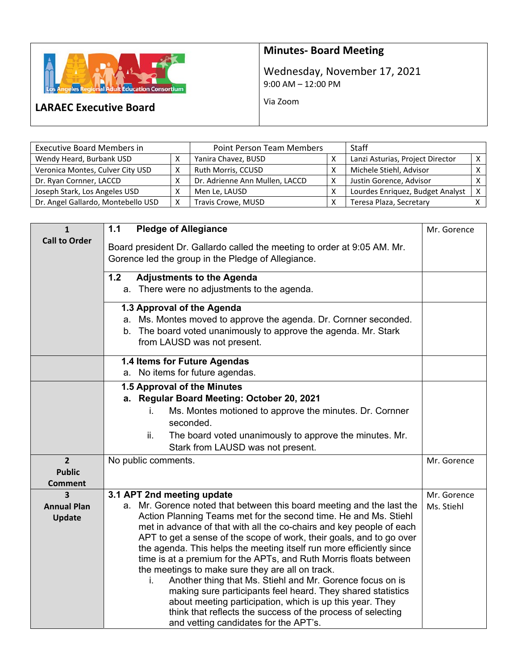

## **Minutes‐ Board Meeting**

Wednesday, November 17, 2021 9:00 AM – 12:00 PM

Via Zoom

## **LARAEC Executive Board**

| <b>Executive Board Members in</b>  | <b>Point Person Team Members</b> | <b>Staff</b>                   |                                  |   |
|------------------------------------|----------------------------------|--------------------------------|----------------------------------|---|
| Wendy Heard, Burbank USD           |                                  | Yanira Chavez, BUSD            | Lanzi Asturias, Project Director |   |
| Veronica Montes, Culver City USD   |                                  | Ruth Morris, CCUSD             | Michele Stiehl, Advisor          |   |
| Dr. Ryan Cornner, LACCD            |                                  | Dr. Adrienne Ann Mullen, LACCD | Justin Gorence, Advisor          |   |
| Joseph Stark, Los Angeles USD      |                                  | Men Le, LAUSD                  | Lourdes Enriquez, Budget Analyst | X |
| Dr. Angel Gallardo, Montebello USD | v                                | Travis Crowe, MUSD             | Teresa Plaza, Secretary          |   |

| $\mathbf{1}$         | 1.1<br><b>Pledge of Allegiance</b>                                                                                                       | Mr. Gorence |
|----------------------|------------------------------------------------------------------------------------------------------------------------------------------|-------------|
| <b>Call to Order</b> | Board president Dr. Gallardo called the meeting to order at 9:05 AM. Mr.                                                                 |             |
|                      | Gorence led the group in the Pledge of Allegiance.                                                                                       |             |
|                      |                                                                                                                                          |             |
|                      | 1.2<br><b>Adjustments to the Agenda</b>                                                                                                  |             |
|                      | a. There were no adjustments to the agenda.                                                                                              |             |
|                      | 1.3 Approval of the Agenda                                                                                                               |             |
|                      | a. Ms. Montes moved to approve the agenda. Dr. Cornner seconded.                                                                         |             |
|                      | b. The board voted unanimously to approve the agenda. Mr. Stark                                                                          |             |
|                      | from LAUSD was not present.                                                                                                              |             |
|                      | 1.4 Items for Future Agendas                                                                                                             |             |
|                      | a. No items for future agendas.                                                                                                          |             |
|                      | 1.5 Approval of the Minutes                                                                                                              |             |
|                      | Regular Board Meeting: October 20, 2021<br>а.                                                                                            |             |
|                      | Ms. Montes motioned to approve the minutes. Dr. Cornner<br>İ.                                                                            |             |
|                      | seconded.                                                                                                                                |             |
|                      | ii.<br>The board voted unanimously to approve the minutes. Mr.                                                                           |             |
|                      | Stark from LAUSD was not present.                                                                                                        |             |
| $\overline{2}$       | No public comments.                                                                                                                      | Mr. Gorence |
| <b>Public</b>        |                                                                                                                                          |             |
| <b>Comment</b>       |                                                                                                                                          |             |
| 3                    | 3.1 APT 2nd meeting update                                                                                                               | Mr. Gorence |
| <b>Annual Plan</b>   | a. Mr. Gorence noted that between this board meeting and the last the                                                                    | Ms. Stiehl  |
| <b>Update</b>        | Action Planning Teams met for the second time. He and Ms. Stiehl<br>met in advance of that with all the co-chairs and key people of each |             |
|                      | APT to get a sense of the scope of work, their goals, and to go over                                                                     |             |
|                      | the agenda. This helps the meeting itself run more efficiently since                                                                     |             |
|                      | time is at a premium for the APTs, and Ruth Morris floats between                                                                        |             |
|                      | the meetings to make sure they are all on track.                                                                                         |             |
|                      | Another thing that Ms. Stiehl and Mr. Gorence focus on is<br>i.                                                                          |             |
|                      | making sure participants feel heard. They shared statistics                                                                              |             |
|                      | about meeting participation, which is up this year. They                                                                                 |             |
|                      | think that reflects the success of the process of selecting                                                                              |             |
|                      | and vetting candidates for the APT's.                                                                                                    |             |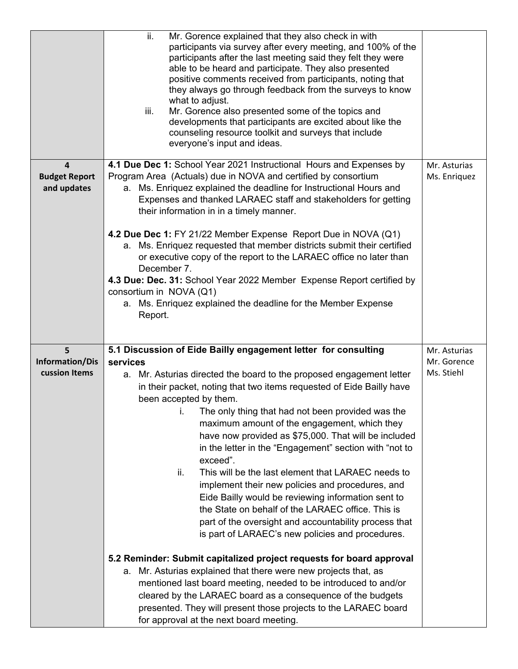|                                     | ii.<br>Mr. Gorence explained that they also check in with<br>participants via survey after every meeting, and 100% of the<br>participants after the last meeting said they felt they were<br>able to be heard and participate. They also presented<br>positive comments received from participants, noting that<br>they always go through feedback from the surveys to know<br>what to adjust.<br>iii.<br>Mr. Gorence also presented some of the topics and<br>developments that participants are excited about like the<br>counseling resource toolkit and surveys that include<br>everyone's input and ideas.                                          |              |
|-------------------------------------|----------------------------------------------------------------------------------------------------------------------------------------------------------------------------------------------------------------------------------------------------------------------------------------------------------------------------------------------------------------------------------------------------------------------------------------------------------------------------------------------------------------------------------------------------------------------------------------------------------------------------------------------------------|--------------|
| 4                                   | 4.1 Due Dec 1: School Year 2021 Instructional Hours and Expenses by                                                                                                                                                                                                                                                                                                                                                                                                                                                                                                                                                                                      | Mr. Asturias |
| <b>Budget Report</b><br>and updates | Program Area (Actuals) due in NOVA and certified by consortium<br>a. Ms. Enriquez explained the deadline for Instructional Hours and<br>Expenses and thanked LARAEC staff and stakeholders for getting<br>their information in in a timely manner.<br>4.2 Due Dec 1: FY 21/22 Member Expense Report Due in NOVA (Q1)<br>a. Ms. Enriquez requested that member districts submit their certified<br>or executive copy of the report to the LARAEC office no later than<br>December 7.<br>4.3 Due: Dec. 31: School Year 2022 Member Expense Report certified by<br>consortium in NOVA (Q1)<br>a. Ms. Enriquez explained the deadline for the Member Expense | Ms. Enriquez |
|                                     | Report.                                                                                                                                                                                                                                                                                                                                                                                                                                                                                                                                                                                                                                                  |              |
|                                     |                                                                                                                                                                                                                                                                                                                                                                                                                                                                                                                                                                                                                                                          |              |
| 5                                   | 5.1 Discussion of Eide Bailly engagement letter for consulting                                                                                                                                                                                                                                                                                                                                                                                                                                                                                                                                                                                           | Mr. Asturias |
| <b>Information/Dis</b>              | services                                                                                                                                                                                                                                                                                                                                                                                                                                                                                                                                                                                                                                                 | Mr. Gorence  |
| cussion Items                       | a. Mr. Asturias directed the board to the proposed engagement letter                                                                                                                                                                                                                                                                                                                                                                                                                                                                                                                                                                                     | Ms. Stiehl   |
|                                     | in their packet, noting that two items requested of Eide Bailly have                                                                                                                                                                                                                                                                                                                                                                                                                                                                                                                                                                                     |              |
|                                     | been accepted by them.                                                                                                                                                                                                                                                                                                                                                                                                                                                                                                                                                                                                                                   |              |
|                                     | i. The only thing that had not been provided was the                                                                                                                                                                                                                                                                                                                                                                                                                                                                                                                                                                                                     |              |
|                                     | maximum amount of the engagement, which they<br>have now provided as \$75,000. That will be included                                                                                                                                                                                                                                                                                                                                                                                                                                                                                                                                                     |              |
|                                     | in the letter in the "Engagement" section with "not to                                                                                                                                                                                                                                                                                                                                                                                                                                                                                                                                                                                                   |              |
|                                     | exceed".                                                                                                                                                                                                                                                                                                                                                                                                                                                                                                                                                                                                                                                 |              |
|                                     | This will be the last element that LARAEC needs to<br>ii.                                                                                                                                                                                                                                                                                                                                                                                                                                                                                                                                                                                                |              |
|                                     | implement their new policies and procedures, and                                                                                                                                                                                                                                                                                                                                                                                                                                                                                                                                                                                                         |              |
|                                     | Eide Bailly would be reviewing information sent to                                                                                                                                                                                                                                                                                                                                                                                                                                                                                                                                                                                                       |              |
|                                     | the State on behalf of the LARAEC office. This is<br>part of the oversight and accountability process that                                                                                                                                                                                                                                                                                                                                                                                                                                                                                                                                               |              |
|                                     | is part of LARAEC's new policies and procedures.                                                                                                                                                                                                                                                                                                                                                                                                                                                                                                                                                                                                         |              |
|                                     |                                                                                                                                                                                                                                                                                                                                                                                                                                                                                                                                                                                                                                                          |              |
|                                     | 5.2 Reminder: Submit capitalized project requests for board approval                                                                                                                                                                                                                                                                                                                                                                                                                                                                                                                                                                                     |              |
|                                     | Mr. Asturias explained that there were new projects that, as<br>а.                                                                                                                                                                                                                                                                                                                                                                                                                                                                                                                                                                                       |              |
|                                     | mentioned last board meeting, needed to be introduced to and/or                                                                                                                                                                                                                                                                                                                                                                                                                                                                                                                                                                                          |              |
|                                     | cleared by the LARAEC board as a consequence of the budgets                                                                                                                                                                                                                                                                                                                                                                                                                                                                                                                                                                                              |              |
|                                     | presented. They will present those projects to the LARAEC board<br>for approval at the next board meeting.                                                                                                                                                                                                                                                                                                                                                                                                                                                                                                                                               |              |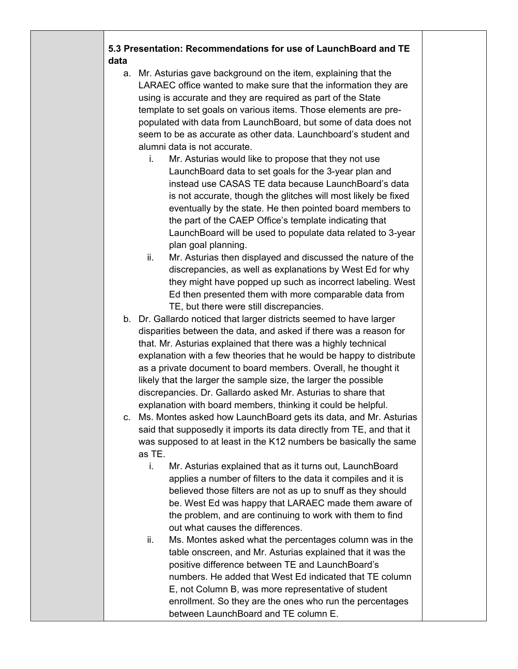## **5.3 Presentation: Recommendations for use of LaunchBoard and TE data**

- a. Mr. Asturias gave background on the item, explaining that the LARAEC office wanted to make sure that the information they are using is accurate and they are required as part of the State template to set goals on various items. Those elements are prepopulated with data from LaunchBoard, but some of data does not seem to be as accurate as other data. Launchboard's student and alumni data is not accurate.
	- i. Mr. Asturias would like to propose that they not use LaunchBoard data to set goals for the 3-year plan and instead use CASAS TE data because LaunchBoard's data is not accurate, though the glitches will most likely be fixed eventually by the state. He then pointed board members to the part of the CAEP Office's template indicating that LaunchBoard will be used to populate data related to 3-year plan goal planning.
	- ii. Mr. Asturias then displayed and discussed the nature of the discrepancies, as well as explanations by West Ed for why they might have popped up such as incorrect labeling. West Ed then presented them with more comparable data from TE, but there were still discrepancies.
- b. Dr. Gallardo noticed that larger districts seemed to have larger disparities between the data, and asked if there was a reason for that. Mr. Asturias explained that there was a highly technical explanation with a few theories that he would be happy to distribute as a private document to board members. Overall, he thought it likely that the larger the sample size, the larger the possible discrepancies. Dr. Gallardo asked Mr. Asturias to share that explanation with board members, thinking it could be helpful.
- c. Ms. Montes asked how LaunchBoard gets its data, and Mr. Asturias said that supposedly it imports its data directly from TE, and that it was supposed to at least in the K12 numbers be basically the same as TE.
	- i. Mr. Asturias explained that as it turns out, LaunchBoard applies a number of filters to the data it compiles and it is believed those filters are not as up to snuff as they should be. West Ed was happy that LARAEC made them aware of the problem, and are continuing to work with them to find out what causes the differences.
	- ii. Ms. Montes asked what the percentages column was in the table onscreen, and Mr. Asturias explained that it was the positive difference between TE and LaunchBoard's numbers. He added that West Ed indicated that TE column E, not Column B, was more representative of student enrollment. So they are the ones who run the percentages between LaunchBoard and TE column E.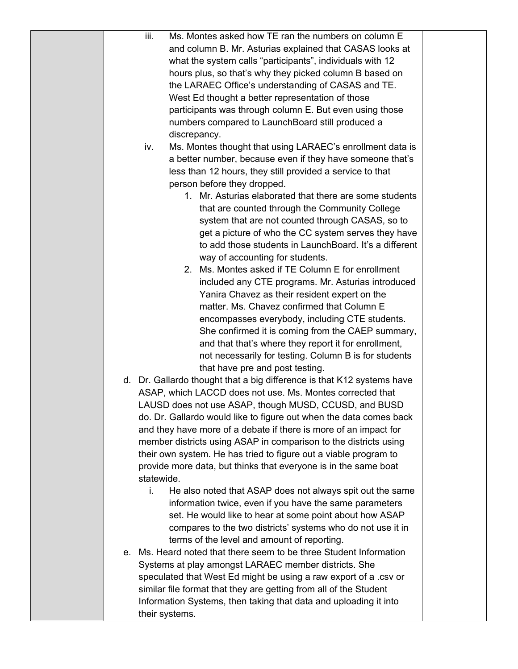|  | Ms. Montes asked how TE ran the numbers on column E<br>iii.            |  |
|--|------------------------------------------------------------------------|--|
|  | and column B. Mr. Asturias explained that CASAS looks at               |  |
|  | what the system calls "participants", individuals with 12              |  |
|  | hours plus, so that's why they picked column B based on                |  |
|  | the LARAEC Office's understanding of CASAS and TE.                     |  |
|  | West Ed thought a better representation of those                       |  |
|  | participants was through column E. But even using those                |  |
|  | numbers compared to LaunchBoard still produced a                       |  |
|  | discrepancy.                                                           |  |
|  | Ms. Montes thought that using LARAEC's enrollment data is<br>iv.       |  |
|  | a better number, because even if they have someone that's              |  |
|  | less than 12 hours, they still provided a service to that              |  |
|  | person before they dropped.                                            |  |
|  | 1. Mr. Asturias elaborated that there are some students                |  |
|  | that are counted through the Community College                         |  |
|  | system that are not counted through CASAS, so to                       |  |
|  | get a picture of who the CC system serves they have                    |  |
|  | to add those students in LaunchBoard. It's a different                 |  |
|  | way of accounting for students.                                        |  |
|  | 2. Ms. Montes asked if TE Column E for enrollment                      |  |
|  | included any CTE programs. Mr. Asturias introduced                     |  |
|  | Yanira Chavez as their resident expert on the                          |  |
|  | matter. Ms. Chavez confirmed that Column E                             |  |
|  | encompasses everybody, including CTE students.                         |  |
|  | She confirmed it is coming from the CAEP summary,                      |  |
|  | and that that's where they report it for enrollment,                   |  |
|  | not necessarily for testing. Column B is for students                  |  |
|  | that have pre and post testing.                                        |  |
|  | d. Dr. Gallardo thought that a big difference is that K12 systems have |  |
|  | ASAP, which LACCD does not use. Ms. Montes corrected that              |  |
|  | LAUSD does not use ASAP, though MUSD, CCUSD, and BUSD                  |  |
|  | do. Dr. Gallardo would like to figure out when the data comes back     |  |
|  | and they have more of a debate if there is more of an impact for       |  |
|  | member districts using ASAP in comparison to the districts using       |  |
|  | their own system. He has tried to figure out a viable program to       |  |
|  | provide more data, but thinks that everyone is in the same boat        |  |
|  | statewide.                                                             |  |
|  | He also noted that ASAP does not always spit out the same<br>i.        |  |
|  | information twice, even if you have the same parameters                |  |
|  | set. He would like to hear at some point about how ASAP                |  |
|  | compares to the two districts' systems who do not use it in            |  |
|  | terms of the level and amount of reporting.                            |  |
|  | e. Ms. Heard noted that there seem to be three Student Information     |  |
|  | Systems at play amongst LARAEC member districts. She                   |  |
|  | speculated that West Ed might be using a raw export of a .csv or       |  |
|  | similar file format that they are getting from all of the Student      |  |
|  | Information Systems, then taking that data and uploading it into       |  |
|  | their systems.                                                         |  |
|  |                                                                        |  |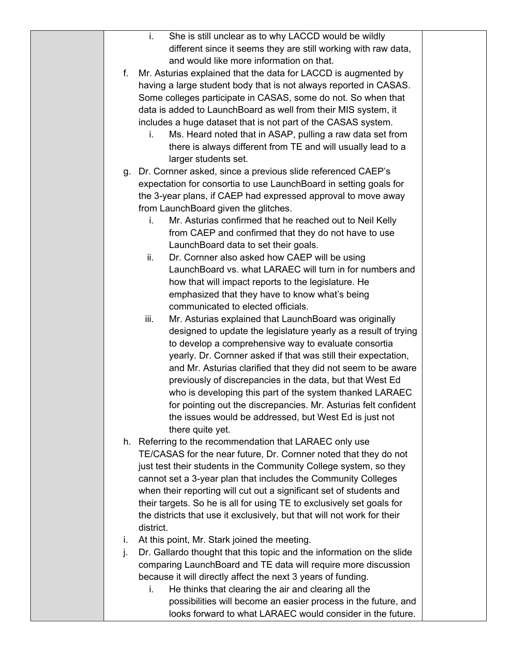|    | She is still unclear as to why LACCD would be wildly<br>i.              |  |
|----|-------------------------------------------------------------------------|--|
|    | different since it seems they are still working with raw data,          |  |
|    | and would like more information on that.                                |  |
| f. | Mr. Asturias explained that the data for LACCD is augmented by          |  |
|    | having a large student body that is not always reported in CASAS.       |  |
|    | Some colleges participate in CASAS, some do not. So when that           |  |
|    | data is added to LaunchBoard as well from their MIS system, it          |  |
|    | includes a huge dataset that is not part of the CASAS system.           |  |
|    | Ms. Heard noted that in ASAP, pulling a raw data set from<br>i.         |  |
|    | there is always different from TE and will usually lead to a            |  |
|    | larger students set.                                                    |  |
|    | g. Dr. Cornner asked, since a previous slide referenced CAEP's          |  |
|    |                                                                         |  |
|    | expectation for consortia to use LaunchBoard in setting goals for       |  |
|    | the 3-year plans, if CAEP had expressed approval to move away           |  |
|    | from LaunchBoard given the glitches.                                    |  |
|    | Mr. Asturias confirmed that he reached out to Neil Kelly<br>i.          |  |
|    | from CAEP and confirmed that they do not have to use                    |  |
|    | LaunchBoard data to set their goals.                                    |  |
|    | Dr. Cornner also asked how CAEP will be using<br>ii.                    |  |
|    | LaunchBoard vs. what LARAEC will turn in for numbers and                |  |
|    | how that will impact reports to the legislature. He                     |  |
|    | emphasized that they have to know what's being                          |  |
|    | communicated to elected officials.                                      |  |
|    | iii.<br>Mr. Asturias explained that LaunchBoard was originally          |  |
|    | designed to update the legislature yearly as a result of trying         |  |
|    | to develop a comprehensive way to evaluate consortia                    |  |
|    | yearly. Dr. Cornner asked if that was still their expectation,          |  |
|    | and Mr. Asturias clarified that they did not seem to be aware           |  |
|    | previously of discrepancies in the data, but that West Ed               |  |
|    | who is developing this part of the system thanked LARAEC                |  |
|    | for pointing out the discrepancies. Mr. Asturias felt confident         |  |
|    | the issues would be addressed, but West Ed is just not                  |  |
|    | there quite yet.                                                        |  |
|    | h. Referring to the recommendation that LARAEC only use                 |  |
|    | TE/CASAS for the near future, Dr. Cornner noted that they do not        |  |
|    | just test their students in the Community College system, so they       |  |
|    | cannot set a 3-year plan that includes the Community Colleges           |  |
|    | when their reporting will cut out a significant set of students and     |  |
|    | their targets. So he is all for using TE to exclusively set goals for   |  |
|    | the districts that use it exclusively, but that will not work for their |  |
|    | district.                                                               |  |
| i. | At this point, Mr. Stark joined the meeting.                            |  |
| j. | Dr. Gallardo thought that this topic and the information on the slide   |  |
|    | comparing LaunchBoard and TE data will require more discussion          |  |
|    | because it will directly affect the next 3 years of funding.            |  |
|    | He thinks that clearing the air and clearing all the<br>i.              |  |
|    | possibilities will become an easier process in the future, and          |  |
|    | looks forward to what LARAEC would consider in the future.              |  |
|    |                                                                         |  |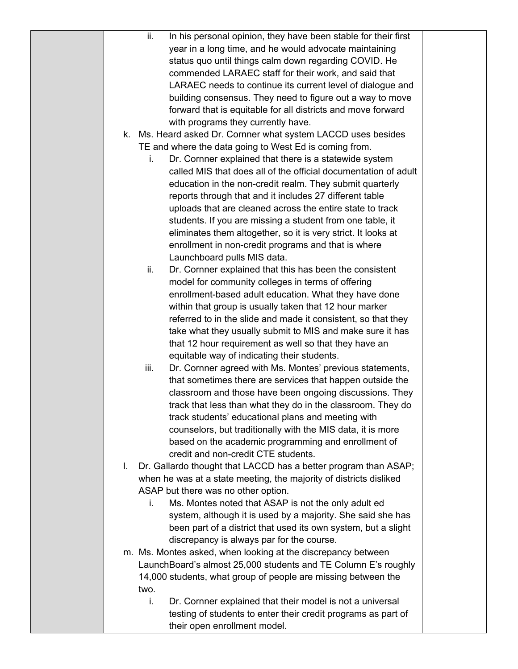|    | ii.<br>In his personal opinion, they have been stable for their first                                              |  |
|----|--------------------------------------------------------------------------------------------------------------------|--|
|    | year in a long time, and he would advocate maintaining                                                             |  |
|    | status quo until things calm down regarding COVID. He                                                              |  |
|    | commended LARAEC staff for their work, and said that                                                               |  |
|    | LARAEC needs to continue its current level of dialogue and                                                         |  |
|    | building consensus. They need to figure out a way to move                                                          |  |
|    | forward that is equitable for all districts and move forward                                                       |  |
|    | with programs they currently have.                                                                                 |  |
|    | k. Ms. Heard asked Dr. Cornner what system LACCD uses besides                                                      |  |
|    | TE and where the data going to West Ed is coming from.                                                             |  |
|    | Dr. Cornner explained that there is a statewide system<br>i.                                                       |  |
|    | called MIS that does all of the official documentation of adult                                                    |  |
|    | education in the non-credit realm. They submit quarterly                                                           |  |
|    | reports through that and it includes 27 different table                                                            |  |
|    | uploads that are cleaned across the entire state to track                                                          |  |
|    | students. If you are missing a student from one table, it                                                          |  |
|    | eliminates them altogether, so it is very strict. It looks at                                                      |  |
|    | enrollment in non-credit programs and that is where                                                                |  |
|    | Launchboard pulls MIS data.                                                                                        |  |
|    | Dr. Cornner explained that this has been the consistent<br>ii.                                                     |  |
|    | model for community colleges in terms of offering                                                                  |  |
|    | enrollment-based adult education. What they have done                                                              |  |
|    | within that group is usually taken that 12 hour marker                                                             |  |
|    | referred to in the slide and made it consistent, so that they                                                      |  |
|    | take what they usually submit to MIS and make sure it has                                                          |  |
|    | that 12 hour requirement as well so that they have an                                                              |  |
|    | equitable way of indicating their students.                                                                        |  |
|    | Dr. Cornner agreed with Ms. Montes' previous statements,<br>iii.                                                   |  |
|    | that sometimes there are services that happen outside the                                                          |  |
|    | classroom and those have been ongoing discussions. They                                                            |  |
|    | track that less than what they do in the classroom. They do                                                        |  |
|    | track students' educational plans and meeting with                                                                 |  |
|    | counselors, but traditionally with the MIS data, it is more<br>based on the academic programming and enrollment of |  |
|    | credit and non-credit CTE students.                                                                                |  |
| L. | Dr. Gallardo thought that LACCD has a better program than ASAP;                                                    |  |
|    | when he was at a state meeting, the majority of districts disliked                                                 |  |
|    | ASAP but there was no other option.                                                                                |  |
|    | Ms. Montes noted that ASAP is not the only adult ed<br>i.                                                          |  |
|    | system, although it is used by a majority. She said she has                                                        |  |
|    | been part of a district that used its own system, but a slight                                                     |  |
|    | discrepancy is always par for the course.                                                                          |  |
|    | m. Ms. Montes asked, when looking at the discrepancy between                                                       |  |
|    | LaunchBoard's almost 25,000 students and TE Column E's roughly                                                     |  |
|    | 14,000 students, what group of people are missing between the                                                      |  |
|    | two.                                                                                                               |  |
|    | i.<br>Dr. Cornner explained that their model is not a universal                                                    |  |
|    | testing of students to enter their credit programs as part of                                                      |  |
|    | their open enrollment model.                                                                                       |  |
|    |                                                                                                                    |  |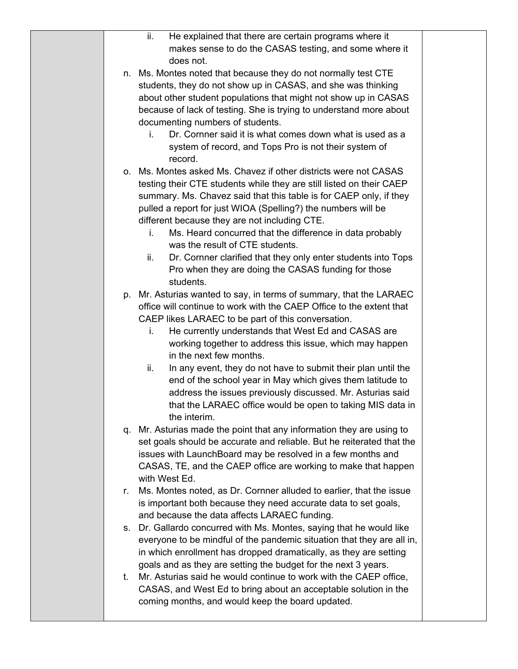|    | ii.<br>He explained that there are certain programs where it           |  |
|----|------------------------------------------------------------------------|--|
|    | makes sense to do the CASAS testing, and some where it                 |  |
|    | does not.                                                              |  |
|    | n. Ms. Montes noted that because they do not normally test CTE         |  |
|    | students, they do not show up in CASAS, and she was thinking           |  |
|    | about other student populations that might not show up in CASAS        |  |
|    | because of lack of testing. She is trying to understand more about     |  |
|    | documenting numbers of students.                                       |  |
|    | Dr. Cornner said it is what comes down what is used as a<br>i.         |  |
|    |                                                                        |  |
|    | system of record, and Tops Pro is not their system of                  |  |
|    | record.                                                                |  |
|    | o. Ms. Montes asked Ms. Chavez if other districts were not CASAS       |  |
|    | testing their CTE students while they are still listed on their CAEP   |  |
|    | summary. Ms. Chavez said that this table is for CAEP only, if they     |  |
|    | pulled a report for just WIOA (Spelling?) the numbers will be          |  |
|    | different because they are not including CTE.                          |  |
|    | Ms. Heard concurred that the difference in data probably<br>i.         |  |
|    | was the result of CTE students.                                        |  |
|    | Dr. Cornner clarified that they only enter students into Tops<br>ii.   |  |
|    | Pro when they are doing the CASAS funding for those                    |  |
|    | students.                                                              |  |
|    | p. Mr. Asturias wanted to say, in terms of summary, that the LARAEC    |  |
|    | office will continue to work with the CAEP Office to the extent that   |  |
|    | CAEP likes LARAEC to be part of this conversation.                     |  |
|    | He currently understands that West Ed and CASAS are<br>Ĺ.              |  |
|    | working together to address this issue, which may happen               |  |
|    | in the next few months.                                                |  |
|    | In any event, they do not have to submit their plan until the<br>ii.   |  |
|    | end of the school year in May which gives them latitude to             |  |
|    | address the issues previously discussed. Mr. Asturias said             |  |
|    | that the LARAEC office would be open to taking MIS data in             |  |
|    | the interim.                                                           |  |
|    | q. Mr. Asturias made the point that any information they are using to  |  |
|    | set goals should be accurate and reliable. But he reiterated that the  |  |
|    | issues with LaunchBoard may be resolved in a few months and            |  |
|    | CASAS, TE, and the CAEP office are working to make that happen         |  |
|    | with West Ed.                                                          |  |
| r. | Ms. Montes noted, as Dr. Cornner alluded to earlier, that the issue    |  |
|    | is important both because they need accurate data to set goals,        |  |
|    | and because the data affects LARAEC funding.                           |  |
|    |                                                                        |  |
|    | s. Dr. Gallardo concurred with Ms. Montes, saying that he would like   |  |
|    | everyone to be mindful of the pandemic situation that they are all in, |  |
|    | in which enrollment has dropped dramatically, as they are setting      |  |
|    | goals and as they are setting the budget for the next 3 years.         |  |
| t. | Mr. Asturias said he would continue to work with the CAEP office,      |  |
|    | CASAS, and West Ed to bring about an acceptable solution in the        |  |
|    | coming months, and would keep the board updated.                       |  |
|    |                                                                        |  |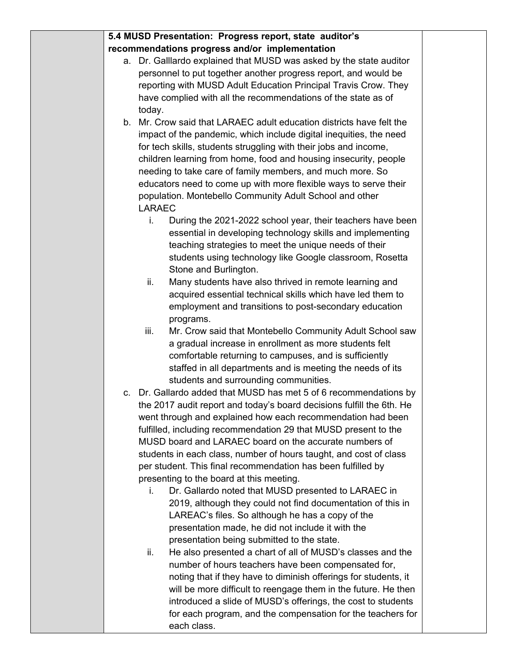|  | 5.4 MUSD Presentation: Progress report, state auditor's                                                                |  |
|--|------------------------------------------------------------------------------------------------------------------------|--|
|  | recommendations progress and/or implementation                                                                         |  |
|  | a. Dr. Galllardo explained that MUSD was asked by the state auditor                                                    |  |
|  | personnel to put together another progress report, and would be                                                        |  |
|  | reporting with MUSD Adult Education Principal Travis Crow. They                                                        |  |
|  | have complied with all the recommendations of the state as of                                                          |  |
|  | today.                                                                                                                 |  |
|  | b. Mr. Crow said that LARAEC adult education districts have felt the                                                   |  |
|  | impact of the pandemic, which include digital inequities, the need                                                     |  |
|  | for tech skills, students struggling with their jobs and income,                                                       |  |
|  | children learning from home, food and housing insecurity, people                                                       |  |
|  | needing to take care of family members, and much more. So                                                              |  |
|  | educators need to come up with more flexible ways to serve their                                                       |  |
|  | population. Montebello Community Adult School and other<br><b>LARAEC</b>                                               |  |
|  | During the 2021-2022 school year, their teachers have been<br>i.                                                       |  |
|  | essential in developing technology skills and implementing                                                             |  |
|  | teaching strategies to meet the unique needs of their                                                                  |  |
|  | students using technology like Google classroom, Rosetta                                                               |  |
|  | Stone and Burlington.                                                                                                  |  |
|  | Many students have also thrived in remote learning and<br>ii.                                                          |  |
|  | acquired essential technical skills which have led them to                                                             |  |
|  | employment and transitions to post-secondary education                                                                 |  |
|  | programs.                                                                                                              |  |
|  | iii.<br>Mr. Crow said that Montebello Community Adult School saw                                                       |  |
|  | a gradual increase in enrollment as more students felt                                                                 |  |
|  | comfortable returning to campuses, and is sufficiently                                                                 |  |
|  | staffed in all departments and is meeting the needs of its                                                             |  |
|  | students and surrounding communities.                                                                                  |  |
|  | c. Dr. Gallardo added that MUSD has met 5 of 6 recommendations by                                                      |  |
|  | the 2017 audit report and today's board decisions fulfill the 6th. He                                                  |  |
|  | went through and explained how each recommendation had been                                                            |  |
|  | fulfilled, including recommendation 29 that MUSD present to the                                                        |  |
|  | MUSD board and LARAEC board on the accurate numbers of                                                                 |  |
|  | students in each class, number of hours taught, and cost of class                                                      |  |
|  | per student. This final recommendation has been fulfilled by                                                           |  |
|  | presenting to the board at this meeting.                                                                               |  |
|  | Dr. Gallardo noted that MUSD presented to LARAEC in<br>i.                                                              |  |
|  | 2019, although they could not find documentation of this in                                                            |  |
|  | LAREAC's files. So although he has a copy of the                                                                       |  |
|  | presentation made, he did not include it with the                                                                      |  |
|  | presentation being submitted to the state.                                                                             |  |
|  | He also presented a chart of all of MUSD's classes and the<br>ii.                                                      |  |
|  | number of hours teachers have been compensated for,<br>noting that if they have to diminish offerings for students, it |  |
|  | will be more difficult to reengage them in the future. He then                                                         |  |
|  | introduced a slide of MUSD's offerings, the cost to students                                                           |  |
|  | for each program, and the compensation for the teachers for                                                            |  |
|  | each class.                                                                                                            |  |
|  |                                                                                                                        |  |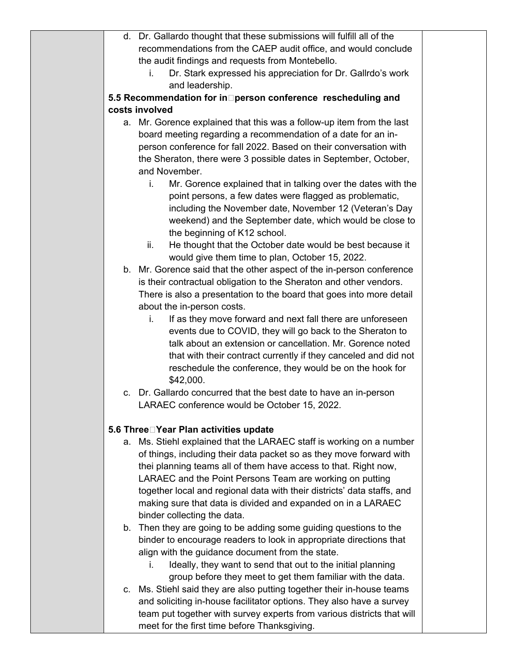| d. Dr. Gallardo thought that these submissions will fulfill all of the                                                      |  |
|-----------------------------------------------------------------------------------------------------------------------------|--|
| recommendations from the CAEP audit office, and would conclude                                                              |  |
| the audit findings and requests from Montebello.                                                                            |  |
| Dr. Stark expressed his appreciation for Dr. Gallrdo's work<br>i.                                                           |  |
| and leadership.                                                                                                             |  |
| 5.5 Recommendation for in Derson conference rescheduling and                                                                |  |
| costs involved                                                                                                              |  |
| a. Mr. Gorence explained that this was a follow-up item from the last                                                       |  |
| board meeting regarding a recommendation of a date for an in-                                                               |  |
| person conference for fall 2022. Based on their conversation with                                                           |  |
| the Sheraton, there were 3 possible dates in September, October,                                                            |  |
| and November.                                                                                                               |  |
| Mr. Gorence explained that in talking over the dates with the<br>i.                                                         |  |
| point persons, a few dates were flagged as problematic,                                                                     |  |
| including the November date, November 12 (Veteran's Day                                                                     |  |
| weekend) and the September date, which would be close to                                                                    |  |
| the beginning of K12 school.                                                                                                |  |
| He thought that the October date would be best because it<br>ii.                                                            |  |
| would give them time to plan, October 15, 2022.                                                                             |  |
| b. Mr. Gorence said that the other aspect of the in-person conference                                                       |  |
| is their contractual obligation to the Sheraton and other vendors.                                                          |  |
| There is also a presentation to the board that goes into more detail                                                        |  |
| about the in-person costs.                                                                                                  |  |
| If as they move forward and next fall there are unforeseen<br>i.                                                            |  |
| events due to COVID, they will go back to the Sheraton to<br>talk about an extension or cancellation. Mr. Gorence noted     |  |
|                                                                                                                             |  |
| that with their contract currently if they canceled and did not<br>reschedule the conference, they would be on the hook for |  |
| \$42,000.                                                                                                                   |  |
| c. Dr. Gallardo concurred that the best date to have an in-person                                                           |  |
| LARAEC conference would be October 15, 2022.                                                                                |  |
|                                                                                                                             |  |
| 5.6 Three□ Year Plan activities update                                                                                      |  |
| Ms. Stiehl explained that the LARAEC staff is working on a number<br>а.                                                     |  |
| of things, including their data packet so as they move forward with                                                         |  |
| thei planning teams all of them have access to that. Right now,                                                             |  |
| LARAEC and the Point Persons Team are working on putting                                                                    |  |
| together local and regional data with their districts' data staffs, and                                                     |  |
| making sure that data is divided and expanded on in a LARAEC                                                                |  |
| binder collecting the data.                                                                                                 |  |
| b. Then they are going to be adding some guiding questions to the                                                           |  |
| binder to encourage readers to look in appropriate directions that                                                          |  |
| align with the guidance document from the state.                                                                            |  |
| Ideally, they want to send that out to the initial planning<br>Ĺ.                                                           |  |
| group before they meet to get them familiar with the data.                                                                  |  |
| c. Ms. Stiehl said they are also putting together their in-house teams                                                      |  |
| and soliciting in-house facilitator options. They also have a survey                                                        |  |
| team put together with survey experts from various districts that will                                                      |  |
| meet for the first time before Thanksgiving.                                                                                |  |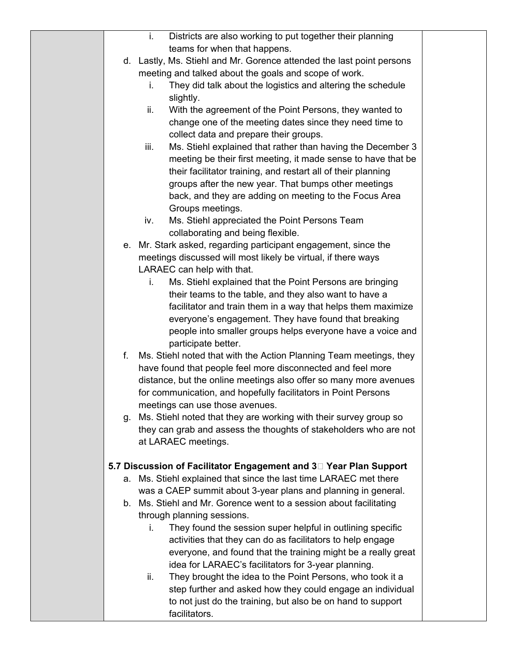|    | Districts are also working to put together their planning<br>i.                                                                           |  |
|----|-------------------------------------------------------------------------------------------------------------------------------------------|--|
|    | teams for when that happens.                                                                                                              |  |
|    | d. Lastly, Ms. Stiehl and Mr. Gorence attended the last point persons                                                                     |  |
|    | meeting and talked about the goals and scope of work.                                                                                     |  |
|    | They did talk about the logistics and altering the schedule<br>i.                                                                         |  |
|    | slightly.                                                                                                                                 |  |
|    | ii.<br>With the agreement of the Point Persons, they wanted to                                                                            |  |
|    | change one of the meeting dates since they need time to                                                                                   |  |
|    | collect data and prepare their groups.                                                                                                    |  |
|    | iii.<br>Ms. Stiehl explained that rather than having the December 3                                                                       |  |
|    | meeting be their first meeting, it made sense to have that be                                                                             |  |
|    | their facilitator training, and restart all of their planning                                                                             |  |
|    | groups after the new year. That bumps other meetings                                                                                      |  |
|    | back, and they are adding on meeting to the Focus Area                                                                                    |  |
|    | Groups meetings.                                                                                                                          |  |
|    | Ms. Stiehl appreciated the Point Persons Team<br>iv.                                                                                      |  |
|    | collaborating and being flexible.                                                                                                         |  |
|    | e. Mr. Stark asked, regarding participant engagement, since the                                                                           |  |
|    | meetings discussed will most likely be virtual, if there ways                                                                             |  |
|    | LARAEC can help with that.                                                                                                                |  |
|    | Ms. Stiehl explained that the Point Persons are bringing<br>i.                                                                            |  |
|    | their teams to the table, and they also want to have a                                                                                    |  |
|    | facilitator and train them in a way that helps them maximize                                                                              |  |
|    | everyone's engagement. They have found that breaking                                                                                      |  |
|    | people into smaller groups helps everyone have a voice and                                                                                |  |
|    | participate better.                                                                                                                       |  |
| f. | Ms. Stiehl noted that with the Action Planning Team meetings, they                                                                        |  |
|    | have found that people feel more disconnected and feel more                                                                               |  |
|    | distance, but the online meetings also offer so many more avenues                                                                         |  |
|    | for communication, and hopefully facilitators in Point Persons                                                                            |  |
|    | meetings can use those avenues.                                                                                                           |  |
|    | g. Ms. Stiehl noted that they are working with their survey group so<br>they can grab and assess the thoughts of stakeholders who are not |  |
|    | at LARAEC meetings.                                                                                                                       |  |
|    |                                                                                                                                           |  |
|    | 5.7 Discussion of Facilitator Engagement and 3 <sup>D</sup> Year Plan Support                                                             |  |
| а. | Ms. Stiehl explained that since the last time LARAEC met there                                                                            |  |
|    | was a CAEP summit about 3-year plans and planning in general.                                                                             |  |
|    | b. Ms. Stiehl and Mr. Gorence went to a session about facilitating                                                                        |  |
|    | through planning sessions.                                                                                                                |  |
|    | They found the session super helpful in outlining specific<br>i.                                                                          |  |
|    | activities that they can do as facilitators to help engage                                                                                |  |
|    | everyone, and found that the training might be a really great                                                                             |  |
|    | idea for LARAEC's facilitators for 3-year planning.                                                                                       |  |
|    | ii.<br>They brought the idea to the Point Persons, who took it a                                                                          |  |
|    | step further and asked how they could engage an individual                                                                                |  |
|    | to not just do the training, but also be on hand to support                                                                               |  |
|    | facilitators.                                                                                                                             |  |
|    |                                                                                                                                           |  |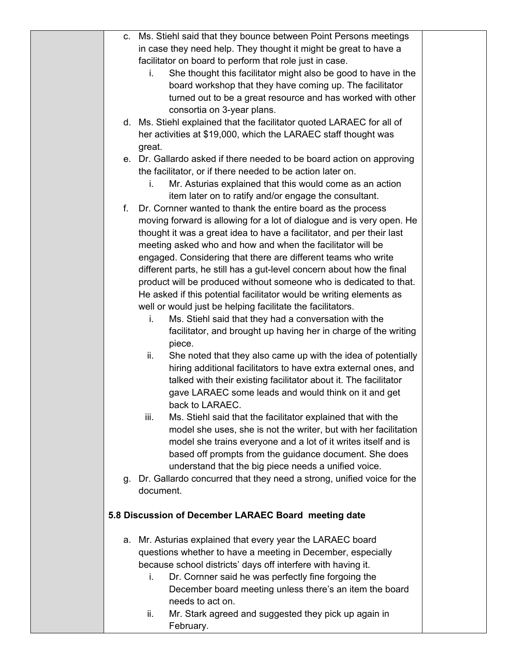|    | c. Ms. Stiehl said that they bounce between Point Persons meetings       |  |
|----|--------------------------------------------------------------------------|--|
|    | in case they need help. They thought it might be great to have a         |  |
|    | facilitator on board to perform that role just in case.                  |  |
|    | She thought this facilitator might also be good to have in the<br>i.     |  |
|    | board workshop that they have coming up. The facilitator                 |  |
|    | turned out to be a great resource and has worked with other              |  |
|    | consortia on 3-year plans.                                               |  |
|    | d. Ms. Stiehl explained that the facilitator quoted LARAEC for all of    |  |
|    | her activities at \$19,000, which the LARAEC staff thought was           |  |
|    | great.                                                                   |  |
|    | e. Dr. Gallardo asked if there needed to be board action on approving    |  |
|    | the facilitator, or if there needed to be action later on.               |  |
|    | Mr. Asturias explained that this would come as an action<br>i.           |  |
|    | item later on to ratify and/or engage the consultant.                    |  |
| f. | Dr. Cornner wanted to thank the entire board as the process              |  |
|    |                                                                          |  |
|    | moving forward is allowing for a lot of dialogue and is very open. He    |  |
|    | thought it was a great idea to have a facilitator, and per their last    |  |
|    | meeting asked who and how and when the facilitator will be               |  |
|    | engaged. Considering that there are different teams who write            |  |
|    | different parts, he still has a gut-level concern about how the final    |  |
|    | product will be produced without someone who is dedicated to that.       |  |
|    | He asked if this potential facilitator would be writing elements as      |  |
|    | well or would just be helping facilitate the facilitators.               |  |
|    | Ms. Stiehl said that they had a conversation with the<br>i.              |  |
|    | facilitator, and brought up having her in charge of the writing          |  |
|    | piece.                                                                   |  |
|    | She noted that they also came up with the idea of potentially<br>ii.     |  |
|    | hiring additional facilitators to have extra external ones, and          |  |
|    | talked with their existing facilitator about it. The facilitator         |  |
|    | gave LARAEC some leads and would think on it and get                     |  |
|    | back to LARAEC.                                                          |  |
|    | iii.<br>Ms. Stiehl said that the facilitator explained that with the     |  |
|    | model she uses, she is not the writer, but with her facilitation         |  |
|    | model she trains everyone and a lot of it writes itself and is           |  |
|    | based off prompts from the guidance document. She does                   |  |
|    | understand that the big piece needs a unified voice.                     |  |
|    | g. Dr. Gallardo concurred that they need a strong, unified voice for the |  |
|    | document.                                                                |  |
|    |                                                                          |  |
|    | 5.8 Discussion of December LARAEC Board meeting date                     |  |
|    |                                                                          |  |
|    | a. Mr. Asturias explained that every year the LARAEC board               |  |
|    | questions whether to have a meeting in December, especially              |  |
|    | because school districts' days off interfere with having it.             |  |
|    | Dr. Cornner said he was perfectly fine forgoing the<br>Ĺ.                |  |
|    | December board meeting unless there's an item the board                  |  |
|    | needs to act on.                                                         |  |
|    | Mr. Stark agreed and suggested they pick up again in<br>ii.              |  |
|    | February.                                                                |  |
|    |                                                                          |  |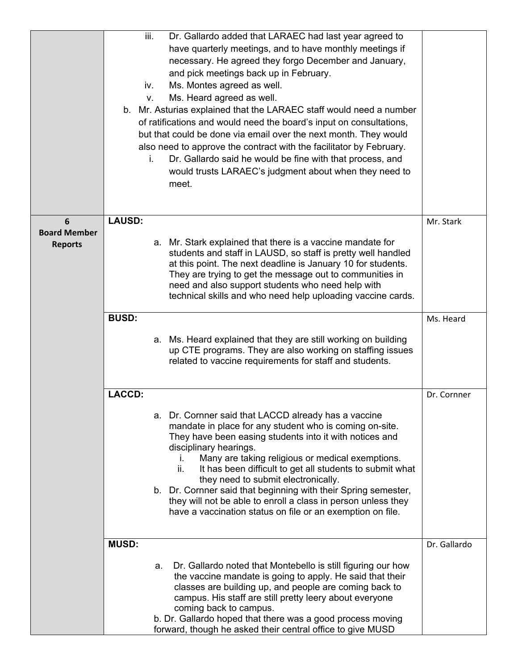|                                       | iii.<br>iv.<br>V. | Dr. Gallardo added that LARAEC had last year agreed to<br>have quarterly meetings, and to have monthly meetings if<br>necessary. He agreed they forgo December and January,<br>and pick meetings back up in February.<br>Ms. Montes agreed as well.<br>Ms. Heard agreed as well.<br>b. Mr. Asturias explained that the LARAEC staff would need a number<br>of ratifications and would need the board's input on consultations,<br>but that could be done via email over the next month. They would                                                                        |              |
|---------------------------------------|-------------------|---------------------------------------------------------------------------------------------------------------------------------------------------------------------------------------------------------------------------------------------------------------------------------------------------------------------------------------------------------------------------------------------------------------------------------------------------------------------------------------------------------------------------------------------------------------------------|--------------|
|                                       | i.                | also need to approve the contract with the facilitator by February.<br>Dr. Gallardo said he would be fine with that process, and<br>would trusts LARAEC's judgment about when they need to<br>meet.                                                                                                                                                                                                                                                                                                                                                                       |              |
| 6                                     | <b>LAUSD:</b>     |                                                                                                                                                                                                                                                                                                                                                                                                                                                                                                                                                                           | Mr. Stark    |
| <b>Board Member</b><br><b>Reports</b> |                   | a. Mr. Stark explained that there is a vaccine mandate for<br>students and staff in LAUSD, so staff is pretty well handled<br>at this point. The next deadline is January 10 for students.<br>They are trying to get the message out to communities in<br>need and also support students who need help with<br>technical skills and who need help uploading vaccine cards.                                                                                                                                                                                                |              |
|                                       | <b>BUSD:</b>      |                                                                                                                                                                                                                                                                                                                                                                                                                                                                                                                                                                           | Ms. Heard    |
|                                       |                   | a. Ms. Heard explained that they are still working on building<br>up CTE programs. They are also working on staffing issues<br>related to vaccine requirements for staff and students.                                                                                                                                                                                                                                                                                                                                                                                    |              |
|                                       | <b>LACCD:</b>     |                                                                                                                                                                                                                                                                                                                                                                                                                                                                                                                                                                           | Dr. Cornner  |
|                                       |                   | a. Dr. Cornner said that LACCD already has a vaccine<br>mandate in place for any student who is coming on-site.<br>They have been easing students into it with notices and<br>disciplinary hearings.<br>Many are taking religious or medical exemptions.<br>i.<br>ii.<br>It has been difficult to get all students to submit what<br>they need to submit electronically.<br>b. Dr. Cornner said that beginning with their Spring semester,<br>they will not be able to enroll a class in person unless they<br>have a vaccination status on file or an exemption on file. |              |
|                                       | <b>MUSD:</b>      |                                                                                                                                                                                                                                                                                                                                                                                                                                                                                                                                                                           | Dr. Gallardo |
|                                       | a.                | Dr. Gallardo noted that Montebello is still figuring our how<br>the vaccine mandate is going to apply. He said that their<br>classes are building up, and people are coming back to<br>campus. His staff are still pretty leery about everyone<br>coming back to campus.<br>b. Dr. Gallardo hoped that there was a good process moving                                                                                                                                                                                                                                    |              |
|                                       |                   | forward, though he asked their central office to give MUSD                                                                                                                                                                                                                                                                                                                                                                                                                                                                                                                |              |